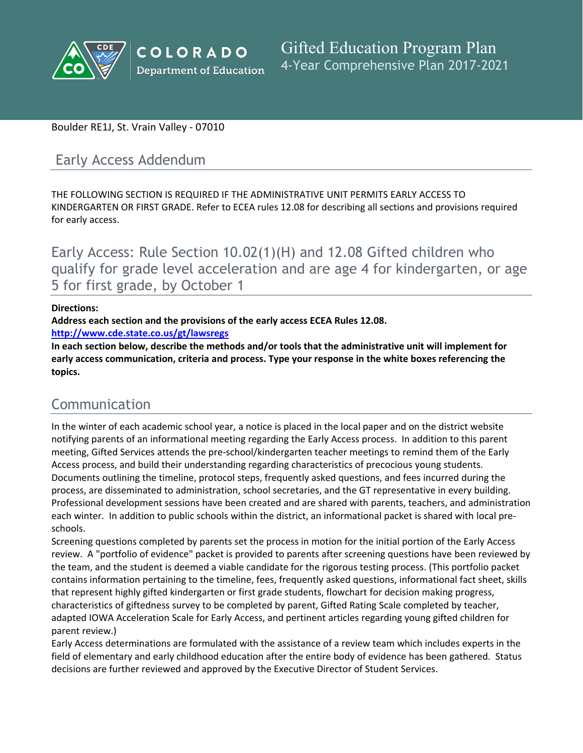

### Boulder RE1J, St. Vrain Valley - 07010

# Early Access Addendum

THE FOLLOWING SECTION IS REQUIRED IF THE ADMINISTRATIVE UNIT PERMITS EARLY ACCESS TO KINDERGARTEN OR FIRST GRADE. Refer to ECEA rules 12.08 for describing all sections and provisions required for early access.

Early Access: Rule Section 10.02(1)(H) and 12.08 Gifted children who qualify for grade level acceleration and are age 4 for kindergarten, or age 5 for first grade, by October 1

#### **Directions:**

**Address each section and the provisions of the early access ECEA Rules 12.08.**

**<http://www.cde.state.co.us/gt/lawsregs>**

**In each section below, describe the methods and/or tools that the administrative unit will implement for early access communication, criteria and process. Type your response in the white boxes referencing the topics.**

# Communication

In the winter of each academic school year, a notice is placed in the local paper and on the district website notifying parents of an informational meeting regarding the Early Access process. In addition to this parent meeting, Gifted Services attends the pre-school/kindergarten teacher meetings to remind them of the Early Access process, and build their understanding regarding characteristics of precocious young students. Documents outlining the timeline, protocol steps, frequently asked questions, and fees incurred during the process, are disseminated to administration, school secretaries, and the GT representative in every building. Professional development sessions have been created and are shared with parents, teachers, and administration each winter. In addition to public schools within the district, an informational packet is shared with local preschools.

Screening questions completed by parents set the process in motion for the initial portion of the Early Access review. A "portfolio of evidence" packet is provided to parents after screening questions have been reviewed by the team, and the student is deemed a viable candidate for the rigorous testing process. (This portfolio packet contains information pertaining to the timeline, fees, frequently asked questions, informational fact sheet, skills that represent highly gifted kindergarten or first grade students, flowchart for decision making progress, characteristics of giftedness survey to be completed by parent, Gifted Rating Scale completed by teacher, adapted IOWA Acceleration Scale for Early Access, and pertinent articles regarding young gifted children for parent review.)

Early Access determinations are formulated with the assistance of a review team which includes experts in the field of elementary and early childhood education after the entire body of evidence has been gathered. Status decisions are further reviewed and approved by the Executive Director of Student Services.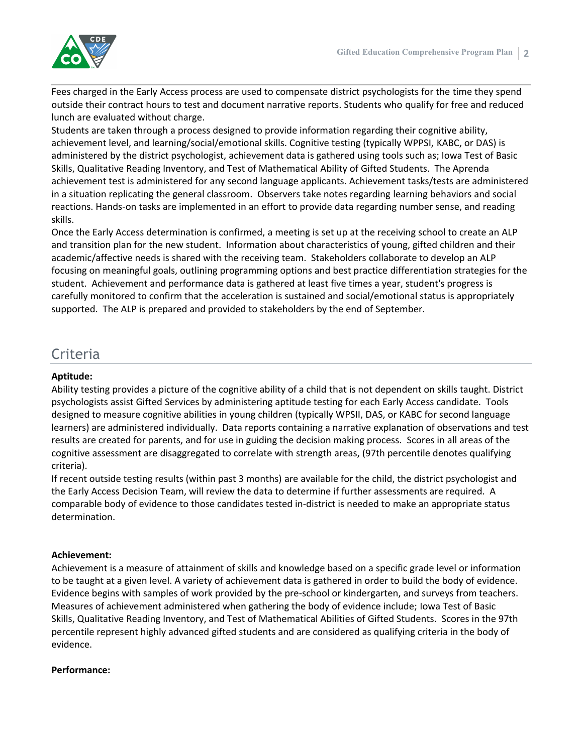

Fees charged in the Early Access process are used to compensate district psychologists for the time they spend outside their contract hours to test and document narrative reports. Students who qualify for free and reduced lunch are evaluated without charge.

Students are taken through a process designed to provide information regarding their cognitive ability, achievement level, and learning/social/emotional skills. Cognitive testing (typically WPPSI, KABC, or DAS) is administered by the district psychologist, achievement data is gathered using tools such as; Iowa Test of Basic Skills, Qualitative Reading Inventory, and Test of Mathematical Ability of Gifted Students. The Aprenda achievement test is administered for any second language applicants. Achievement tasks/tests are administered in a situation replicating the general classroom. Observers take notes regarding learning behaviors and social reactions. Hands-on tasks are implemented in an effort to provide data regarding number sense, and reading skills.

Once the Early Access determination is confirmed, a meeting is set up at the receiving school to create an ALP and transition plan for the new student. Information about characteristics of young, gifted children and their academic/affective needs is shared with the receiving team. Stakeholders collaborate to develop an ALP focusing on meaningful goals, outlining programming options and best practice differentiation strategies for the student. Achievement and performance data is gathered at least five times a year, student's progress is carefully monitored to confirm that the acceleration is sustained and social/emotional status is appropriately supported. The ALP is prepared and provided to stakeholders by the end of September.

# Criteria

#### **Aptitude:**

Ability testing provides a picture of the cognitive ability of a child that is not dependent on skills taught. District psychologists assist Gifted Services by administering aptitude testing for each Early Access candidate. Tools designed to measure cognitive abilities in young children (typically WPSII, DAS, or KABC for second language learners) are administered individually. Data reports containing a narrative explanation of observations and test results are created for parents, and for use in guiding the decision making process. Scores in all areas of the cognitive assessment are disaggregated to correlate with strength areas, (97th percentile denotes qualifying criteria).

If recent outside testing results (within past 3 months) are available for the child, the district psychologist and the Early Access Decision Team, will review the data to determine if further assessments are required. A comparable body of evidence to those candidates tested in-district is needed to make an appropriate status determination.

#### **Achievement:**

Achievement is a measure of attainment of skills and knowledge based on a specific grade level or information to be taught at a given level. A variety of achievement data is gathered in order to build the body of evidence. Evidence begins with samples of work provided by the pre-school or kindergarten, and surveys from teachers. Measures of achievement administered when gathering the body of evidence include; Iowa Test of Basic Skills, Qualitative Reading Inventory, and Test of Mathematical Abilities of Gifted Students. Scores in the 97th percentile represent highly advanced gifted students and are considered as qualifying criteria in the body of evidence.

#### **Performance:**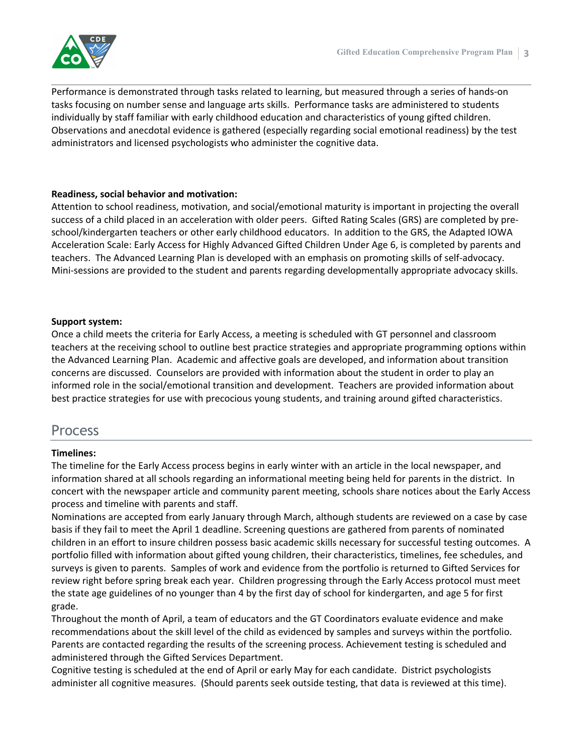

Performance is demonstrated through tasks related to learning, but measured through a series of hands-on tasks focusing on number sense and language arts skills. Performance tasks are administered to students individually by staff familiar with early childhood education and characteristics of young gifted children. Observations and anecdotal evidence is gathered (especially regarding social emotional readiness) by the test administrators and licensed psychologists who administer the cognitive data.

#### **Readiness, social behavior and motivation:**

Attention to school readiness, motivation, and social/emotional maturity is important in projecting the overall success of a child placed in an acceleration with older peers. Gifted Rating Scales (GRS) are completed by preschool/kindergarten teachers or other early childhood educators. In addition to the GRS, the Adapted IOWA Acceleration Scale: Early Access for Highly Advanced Gifted Children Under Age 6, is completed by parents and teachers. The Advanced Learning Plan is developed with an emphasis on promoting skills of self-advocacy. Mini-sessions are provided to the student and parents regarding developmentally appropriate advocacy skills.

### **Support system:**

Once a child meets the criteria for Early Access, a meeting is scheduled with GT personnel and classroom teachers at the receiving school to outline best practice strategies and appropriate programming options within the Advanced Learning Plan. Academic and affective goals are developed, and information about transition concerns are discussed. Counselors are provided with information about the student in order to play an informed role in the social/emotional transition and development. Teachers are provided information about best practice strategies for use with precocious young students, and training around gifted characteristics.

## Process

### **Timelines:**

The timeline for the Early Access process begins in early winter with an article in the local newspaper, and information shared at all schools regarding an informational meeting being held for parents in the district. In concert with the newspaper article and community parent meeting, schools share notices about the Early Access process and timeline with parents and staff.

Nominations are accepted from early January through March, although students are reviewed on a case by case basis if they fail to meet the April 1 deadline. Screening questions are gathered from parents of nominated children in an effort to insure children possess basic academic skills necessary for successful testing outcomes. A portfolio filled with information about gifted young children, their characteristics, timelines, fee schedules, and surveys is given to parents. Samples of work and evidence from the portfolio is returned to Gifted Services for review right before spring break each year. Children progressing through the Early Access protocol must meet the state age guidelines of no younger than 4 by the first day of school for kindergarten, and age 5 for first grade.

Throughout the month of April, a team of educators and the GT Coordinators evaluate evidence and make recommendations about the skill level of the child as evidenced by samples and surveys within the portfolio. Parents are contacted regarding the results of the screening process. Achievement testing is scheduled and administered through the Gifted Services Department.

Cognitive testing is scheduled at the end of April or early May for each candidate. District psychologists administer all cognitive measures. (Should parents seek outside testing, that data is reviewed at this time).